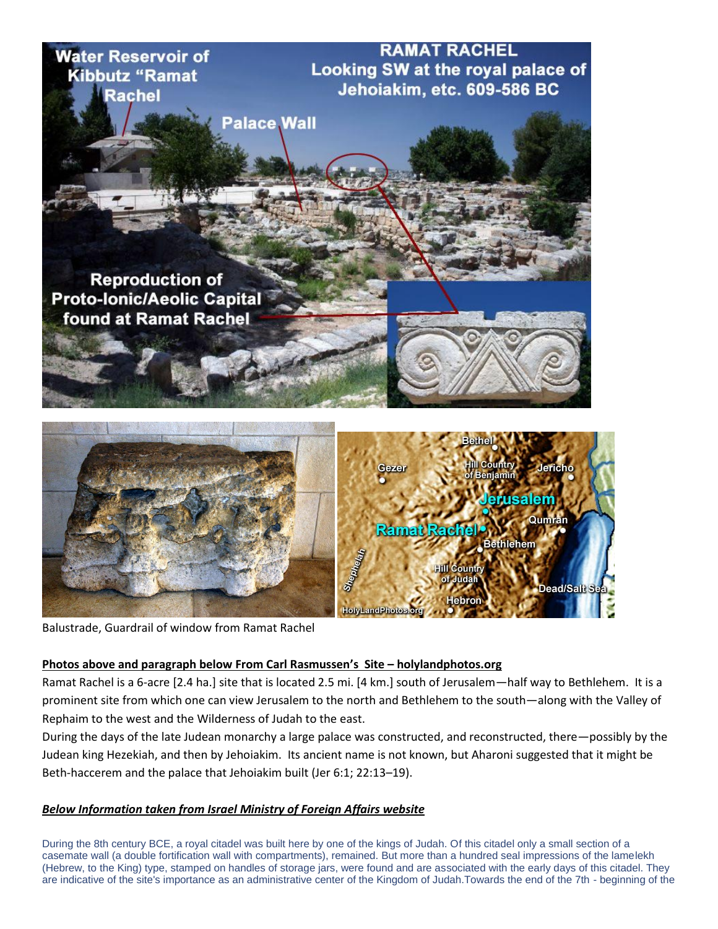

Balustrade, Guardrail of window from Ramat Rachel

## **Photos above and paragraph below From Carl Rasmussen's Site – holylandphotos.org**

Ramat Rachel is a 6-acre [2.4 ha.] site that is located 2.5 mi. [4 km.] south of Jerusalem—half way to Bethlehem. It is a prominent site from which one can view Jerusalem to the north and Bethlehem to the south—along with the Valley of Rephaim to the west and the Wilderness of Judah to the east.

During the days of the late Judean monarchy a large palace was constructed, and reconstructed, there—possibly by the Judean king Hezekiah, and then by Jehoiakim. Its ancient name is not known, but Aharoni suggested that it might be Beth-haccerem and the palace that Jehoiakim built (Jer 6:1; 22:13–19).

## *Below Information taken from Israel Ministry of Foreign Affairs website*

During the 8th century BCE, a royal citadel was built here by one of the kings of Judah. Of this citadel only a small section of a casemate wall (a double fortification wall with compartments), remained. But more than a hundred seal impressions of the lamelekh (Hebrew, to the King) type, stamped on handles of storage jars, were found and are associated with the early days of this citadel. They are indicative of the site's importance as an administrative center of the Kingdom of Judah.Towards the end of the 7th - beginning of the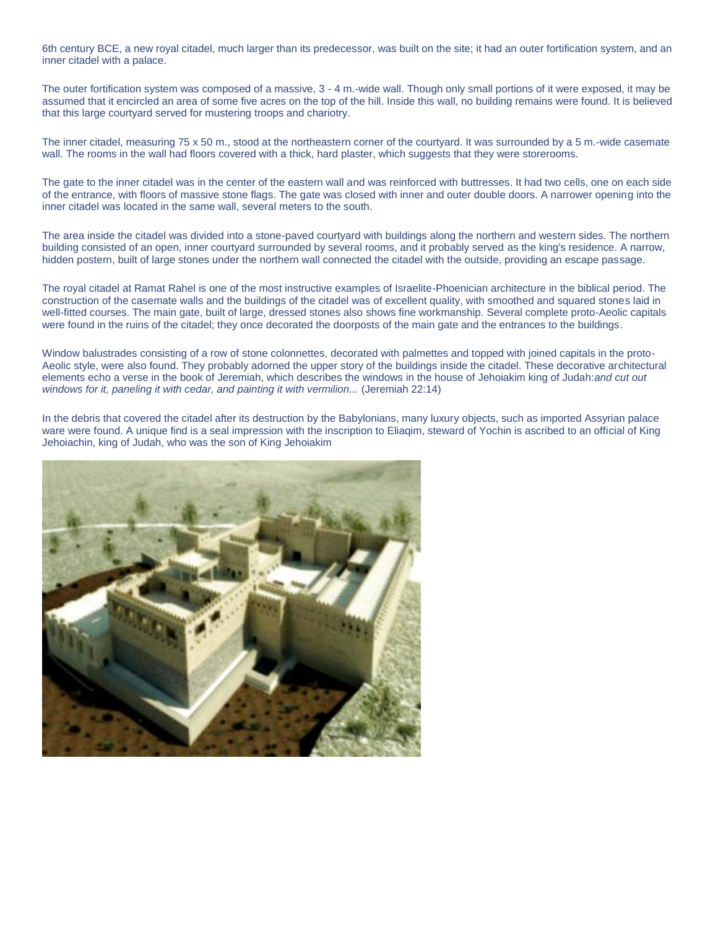6th century BCE, a new royal citadel, much larger than its predecessor, was built on the site; it had an outer fortification system, and an inner citadel with a palace.

The outer fortification system was composed of a massive, 3 - 4 m.-wide wall. Though only small portions of it were exposed, it may be assumed that it encircled an area of some five acres on the top of the hill. Inside this wall, no building remains were found. It is believed that this large courtyard served for mustering troops and chariotry.

The inner citadel, measuring 75 x 50 m., stood at the northeastern corner of the courtyard. It was surrounded by a 5 m.-wide casemate wall. The rooms in the wall had floors covered with a thick, hard plaster, which suggests that they were storerooms.

The gate to the inner citadel was in the center of the eastern wall and was reinforced with buttresses. It had two cells, one on each side of the entrance, with floors of massive stone flags. The gate was closed with inner and outer double doors. A narrower opening into the inner citadel was located in the same wall, several meters to the south.

The area inside the citadel was divided into a stone-paved courtyard with buildings along the northern and western sides. The northern building consisted of an open, inner courtyard surrounded by several rooms, and it probably served as the king's residence. A narrow, hidden postern, built of large stones under the northern wall connected the citadel with the outside, providing an escape passage.

The royal citadel at Ramat Rahel is one of the most instructive examples of Israelite-Phoenician architecture in the biblical period. The construction of the casemate walls and the buildings of the citadel was of excellent quality, with smoothed and squared stones laid in well-fitted courses. The main gate, built of large, dressed stones also shows fine workmanship. Several complete proto-Aeolic capitals were found in the ruins of the citadel; they once decorated the doorposts of the main gate and the entrances to the buildings.

Window balustrades consisting of a row of stone colonnettes, decorated with palmettes and topped with joined capitals in the proto-Aeolic style, were also found. They probably adorned the upper story of the buildings inside the citadel. These decorative architectural elements echo a verse in the book of Jeremiah, which describes the windows in the house of Jehoiakim king of Judah:*and cut out windows for it, paneling it with cedar, and painting it with vermilion...* (Jeremiah 22:14)

In the debris that covered the citadel after its destruction by the Babylonians, many luxury objects, such as imported Assyrian palace ware were found. A unique find is a seal impression with the inscription to Eliaqim, steward of Yochin is ascribed to an official of King Jehoiachin, king of Judah, who was the son of King Jehoiakim